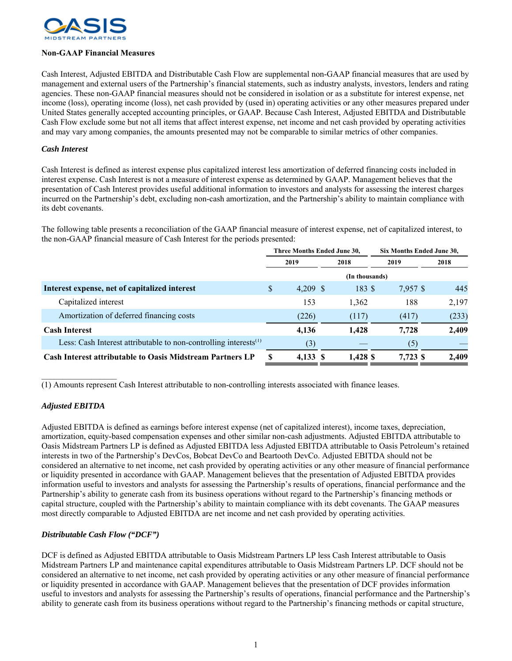

## **Non-GAAP Financial Measures**

Cash Interest, Adjusted EBITDA and Distributable Cash Flow are supplemental non-GAAP financial measures that are used by management and external users of the Partnership's financial statements, such as industry analysts, investors, lenders and rating agencies. These non-GAAP financial measures should not be considered in isolation or as a substitute for interest expense, net income (loss), operating income (loss), net cash provided by (used in) operating activities or any other measures prepared under United States generally accepted accounting principles, or GAAP. Because Cash Interest, Adjusted EBITDA and Distributable Cash Flow exclude some but not all items that affect interest expense, net income and net cash provided by operating activities and may vary among companies, the amounts presented may not be comparable to similar metrics of other companies.

## *Cash Interest*

Cash Interest is defined as interest expense plus capitalized interest less amortization of deferred financing costs included in interest expense. Cash Interest is not a measure of interest expense as determined by GAAP. Management believes that the presentation of Cash Interest provides useful additional information to investors and analysts for assessing the interest charges incurred on the Partnership's debt, excluding non-cash amortization, and the Partnership's ability to maintain compliance with its debt covenants.

The following table presents a reconciliation of the GAAP financial measure of interest expense, net of capitalized interest, to the non-GAAP financial measure of Cash Interest for the periods presented:

|                                                                     | Three Months Ended June 30, |          |  |          | Six Months Ended June 30, |          |       |  |
|---------------------------------------------------------------------|-----------------------------|----------|--|----------|---------------------------|----------|-------|--|
|                                                                     | 2019                        |          |  | 2018     | 2019                      |          | 2018  |  |
|                                                                     |                             |          |  |          |                           |          |       |  |
| Interest expense, net of capitalized interest                       | \$                          | 4.209 \$ |  | 183S     |                           | 7,957 \$ | 445   |  |
| Capitalized interest                                                |                             | 153      |  | 1,362    |                           | 188      | 2,197 |  |
| Amortization of deferred financing costs                            |                             | (226)    |  | (117)    |                           | (417)    | (233) |  |
| <b>Cash Interest</b>                                                |                             | 4,136    |  | 1.428    |                           | 7.728    | 2,409 |  |
| Less: Cash Interest attributable to non-controlling interests $(1)$ |                             | (3)      |  |          |                           | (5)      |       |  |
| <b>Cash Interest attributable to Oasis Midstream Partners LP</b>    |                             | 4,133    |  | 1,428 \$ |                           | 7.723 \$ | 2.409 |  |

(1) Amounts represent Cash Interest attributable to non-controlling interests associated with finance leases.

## *Adjusted EBITDA*

Adjusted EBITDA is defined as earnings before interest expense (net of capitalized interest), income taxes, depreciation, amortization, equity-based compensation expenses and other similar non-cash adjustments. Adjusted EBITDA attributable to Oasis Midstream Partners LP is defined as Adjusted EBITDA less Adjusted EBITDA attributable to Oasis Petroleum's retained interests in two of the Partnership's DevCos, Bobcat DevCo and Beartooth DevCo. Adjusted EBITDA should not be considered an alternative to net income, net cash provided by operating activities or any other measure of financial performance or liquidity presented in accordance with GAAP. Management believes that the presentation of Adjusted EBITDA provides information useful to investors and analysts for assessing the Partnership's results of operations, financial performance and the Partnership's ability to generate cash from its business operations without regard to the Partnership's financing methods or capital structure, coupled with the Partnership's ability to maintain compliance with its debt covenants. The GAAP measures most directly comparable to Adjusted EBITDA are net income and net cash provided by operating activities.

## *Distributable Cash Flow ("DCF")*

DCF is defined as Adjusted EBITDA attributable to Oasis Midstream Partners LP less Cash Interest attributable to Oasis Midstream Partners LP and maintenance capital expenditures attributable to Oasis Midstream Partners LP. DCF should not be considered an alternative to net income, net cash provided by operating activities or any other measure of financial performance or liquidity presented in accordance with GAAP. Management believes that the presentation of DCF provides information useful to investors and analysts for assessing the Partnership's results of operations, financial performance and the Partnership's ability to generate cash from its business operations without regard to the Partnership's financing methods or capital structure,